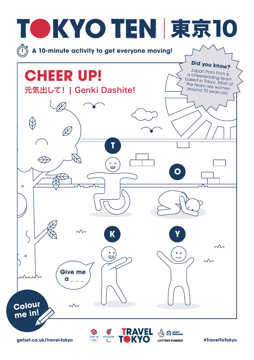